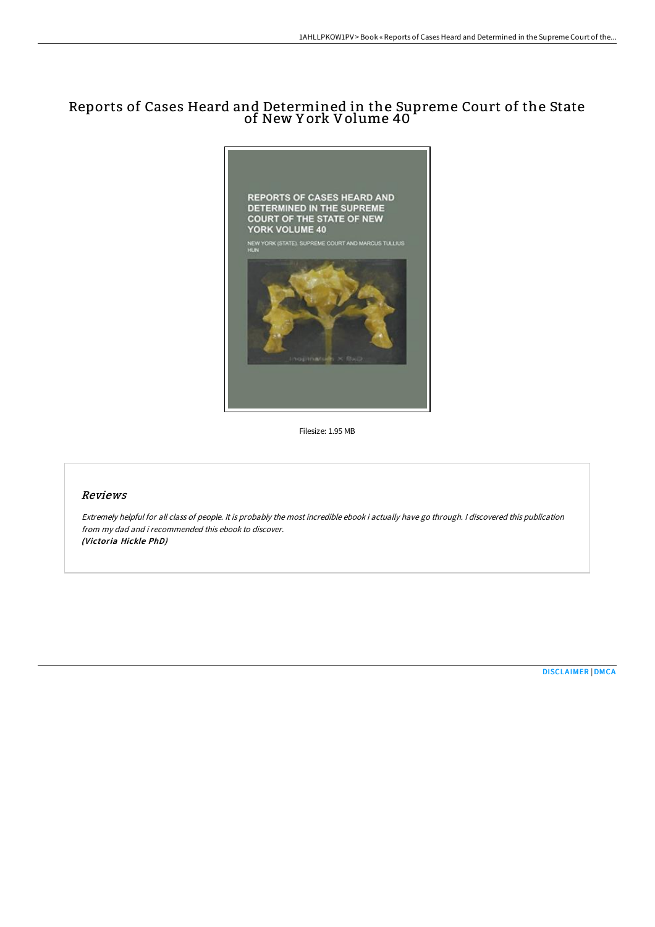## Reports of Cases Heard and Determined in the Supreme Court of the State of New Y ork Volume 40



Filesize: 1.95 MB

## Reviews

Extremely helpful for all class of people. It is probably the most incredible ebook i actually have go through. <sup>I</sup> discovered this publication from my dad and i recommended this ebook to discover. (Victoria Hickle PhD)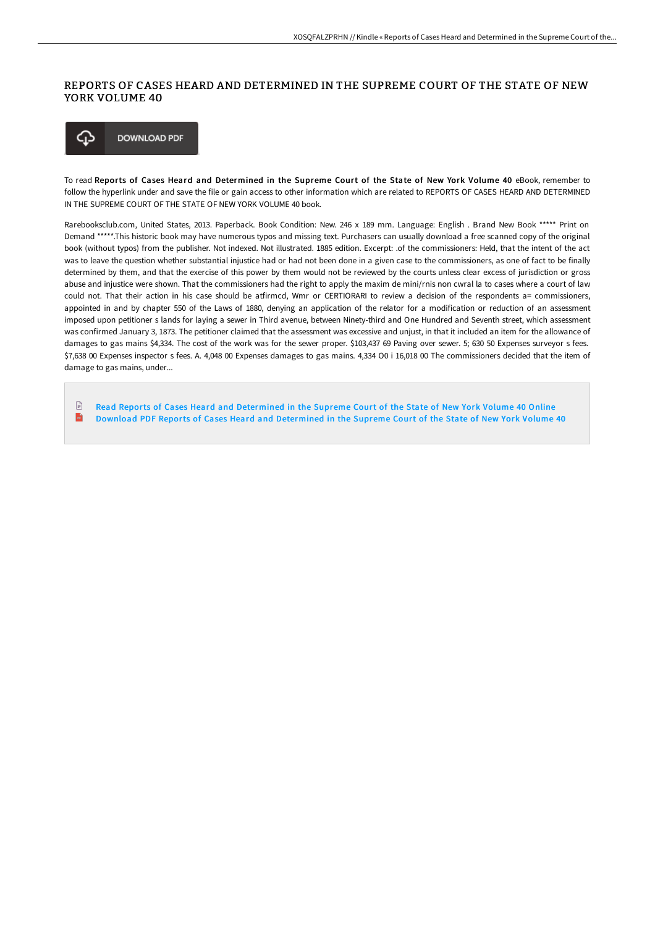## REPORTS OF CASES HEARD AND DETERMINED IN THE SUPREME COURT OF THE STATE OF NEW YORK VOLUME 40



To read Reports of Cases Heard and Determined in the Supreme Court of the State of New York Volume 40 eBook, remember to follow the hyperlink under and save the file or gain access to other information which are related to REPORTS OF CASES HEARD AND DETERMINED IN THE SUPREME COURT OF THE STATE OF NEW YORK VOLUME 40 book.

Rarebooksclub.com, United States, 2013. Paperback. Book Condition: New. 246 x 189 mm. Language: English . Brand New Book \*\*\*\*\* Print on Demand \*\*\*\*\*.This historic book may have numerous typos and missing text. Purchasers can usually download a free scanned copy of the original book (without typos) from the publisher. Not indexed. Not illustrated. 1885 edition. Excerpt: .of the commissioners: Held, that the intent of the act was to leave the question whether substantial injustice had or had not been done in a given case to the commissioners, as one of fact to be finally determined by them, and that the exercise of this power by them would not be reviewed by the courts unless clear excess of jurisdiction or gross abuse and injustice were shown. That the commissioners had the right to apply the maxim de mini/rnis non cwral la to cases where a court of law could not. That their action in his case should be atfirmcd, Wmr or CERTIORARI to review a decision of the respondents a= commissioners, appointed in and by chapter 550 of the Laws of 1880, denying an application of the relator for a modification or reduction of an assessment imposed upon petitioner s lands for laying a sewer in Third avenue, between Ninety-third and One Hundred and Seventh street, which assessment was confirmed January 3, 1873. The petitioner claimed that the assessment was excessive and unjust, in that it included an item for the allowance of damages to gas mains \$4,334. The cost of the work was for the sewer proper. \$103,437 69 Paving over sewer. 5; 630 50 Expenses surveyor s fees. \$7,638 00 Expenses inspector s fees. A. 4,048 00 Expenses damages to gas mains. 4,334 O0 i 16,018 00 The commissioners decided that the item of damage to gas mains, under...

 $\mathbb{R}$ Read Reports of Cases Heard and [Determined](http://www.bookdirs.com/reports-of-cases-heard-and-determined-in-the-sup-3.html) in the Supreme Court of the State of New York Volume 40 Online  $\overline{\mathbf{m}}$ Download PDF Reports of Cases Heard and [Determined](http://www.bookdirs.com/reports-of-cases-heard-and-determined-in-the-sup-3.html) in the Supreme Court of the State of New York Volume 40